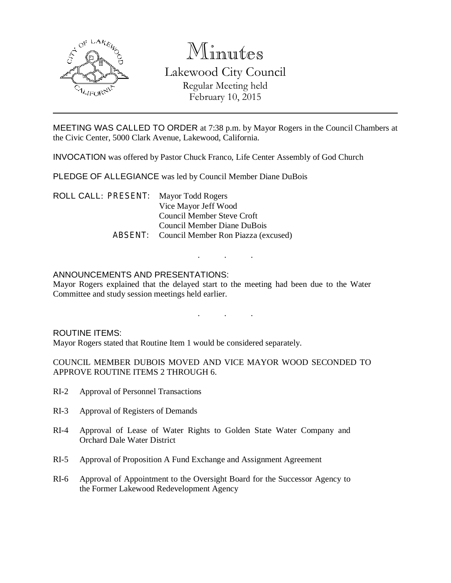

# Minutes

# Lakewood City Council Regular Meeting held February 10, 2015

MEETING WAS CALLED TO ORDER at 7:38 p.m. by Mayor Rogers in the Council Chambers at the Civic Center, 5000 Clark Avenue, Lakewood, California.

INVOCATION was offered by Pastor Chuck Franco, Life Center Assembly of God Church

PLEDGE OF ALLEGIANCE was led by Council Member Diane DuBois

ROLL CALL: PRESENT: Mayor Todd Rogers Vice Mayor Jeff Wood Council Member Steve Croft Council Member Diane DuBois ABSENT: Council Member Ron Piazza (excused)

### ANNOUNCEMENTS AND PRESENTATIONS:

Mayor Rogers explained that the delayed start to the meeting had been due to the Water Committee and study session meetings held earlier.

. . .

. . .

#### ROUTINE ITEMS:

Mayor Rogers stated that Routine Item 1 would be considered separately.

COUNCIL MEMBER DUBOIS MOVED AND VICE MAYOR WOOD SECONDED TO APPROVE ROUTINE ITEMS 2 THROUGH 6.

- RI-2 Approval of Personnel Transactions
- RI-3 Approval of Registers of Demands
- RI-4 Approval of Lease of Water Rights to Golden State Water Company and Orchard Dale Water District
- RI-5 Approval of Proposition A Fund Exchange and Assignment Agreement
- RI-6 Approval of Appointment to the Oversight Board for the Successor Agency to the Former Lakewood Redevelopment Agency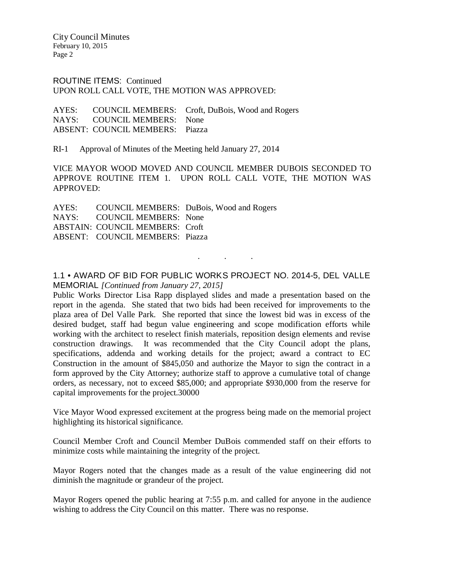ROUTINE ITEMS: Continued UPON ROLL CALL VOTE, THE MOTION WAS APPROVED:

AYES: COUNCIL MEMBERS: Croft, DuBois, Wood and Rogers NAYS: COUNCIL MEMBERS: None ABSENT: COUNCIL MEMBERS: Piazza

RI-1 Approval of Minutes of the Meeting held January 27, 2014

VICE MAYOR WOOD MOVED AND COUNCIL MEMBER DUBOIS SECONDED TO APPROVE ROUTINE ITEM 1. UPON ROLL CALL VOTE, THE MOTION WAS APPROVED:

AYES: COUNCIL MEMBERS: DuBois, Wood and Rogers NAYS: COUNCIL MEMBERS: None ABSTAIN: COUNCIL MEMBERS: Croft ABSENT: COUNCIL MEMBERS: Piazza

1.1 • AWARD OF BID FOR PUBLIC WORKS PROJECT NO. 2014-5, DEL VALLE MEMORIAL *[Continued from January 27, 2015]*

. . .

Public Works Director Lisa Rapp displayed slides and made a presentation based on the report in the agenda. She stated that two bids had been received for improvements to the plaza area of Del Valle Park. She reported that since the lowest bid was in excess of the desired budget, staff had begun value engineering and scope modification efforts while working with the architect to reselect finish materials, reposition design elements and revise construction drawings. It was recommended that the City Council adopt the plans, specifications, addenda and working details for the project; award a contract to EC Construction in the amount of \$845,050 and authorize the Mayor to sign the contract in a form approved by the City Attorney; authorize staff to approve a cumulative total of change orders, as necessary, not to exceed \$85,000; and appropriate \$930,000 from the reserve for capital improvements for the project.30000

Vice Mayor Wood expressed excitement at the progress being made on the memorial project highlighting its historical significance.

Council Member Croft and Council Member DuBois commended staff on their efforts to minimize costs while maintaining the integrity of the project.

Mayor Rogers noted that the changes made as a result of the value engineering did not diminish the magnitude or grandeur of the project.

Mayor Rogers opened the public hearing at 7:55 p.m. and called for anyone in the audience wishing to address the City Council on this matter. There was no response.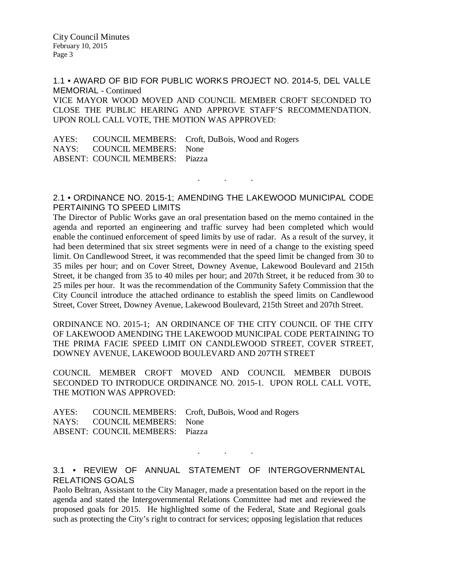1.1 • AWARD OF BID FOR PUBLIC WORKS PROJECT NO. 2014-5, DEL VALLE MEMORIAL - Continued

VICE MAYOR WOOD MOVED AND COUNCIL MEMBER CROFT SECONDED TO CLOSE THE PUBLIC HEARING AND APPROVE STAFF'S RECOMMENDATION. UPON ROLL CALL VOTE, THE MOTION WAS APPROVED:

AYES: COUNCIL MEMBERS: Croft, DuBois, Wood and Rogers NAYS: COUNCIL MEMBERS: None ABSENT: COUNCIL MEMBERS: Piazza

2.1 • ORDINANCE NO. 2015-1; AMENDING THE LAKEWOOD MUNICIPAL CODE PERTAINING TO SPEED LIMITS

. . .

The Director of Public Works gave an oral presentation based on the memo contained in the agenda and reported an engineering and traffic survey had been completed which would enable the continued enforcement of speed limits by use of radar. As a result of the survey, it had been determined that six street segments were in need of a change to the existing speed limit. On Candlewood Street, it was recommended that the speed limit be changed from 30 to 35 miles per hour; and on Cover Street, Downey Avenue, Lakewood Boulevard and 215th Street, it be changed from 35 to 40 miles per hour; and 207th Street, it be reduced from 30 to 25 miles per hour. It was the recommendation of the Community Safety Commission that the City Council introduce the attached ordinance to establish the speed limits on Candlewood Street, Cover Street, Downey Avenue, Lakewood Boulevard, 215th Street and 207th Street.

ORDINANCE NO. 2015-1; AN ORDINANCE OF THE CITY COUNCIL OF THE CITY OF LAKEWOOD AMENDING THE LAKEWOOD MUNICIPAL CODE PERTAINING TO THE PRIMA FACIE SPEED LIMIT ON CANDLEWOOD STREET, COVER STREET, DOWNEY AVENUE, LAKEWOOD BOULEVARD AND 207TH STREET

COUNCIL MEMBER CROFT MOVED AND COUNCIL MEMBER DUBOIS SECONDED TO INTRODUCE ORDINANCE NO. 2015-1. UPON ROLL CALL VOTE, THE MOTION WAS APPROVED:

|                                        | AYES: COUNCIL MEMBERS: Croft, DuBois, Wood and Rogers |
|----------------------------------------|-------------------------------------------------------|
| NAYS: COUNCIL MEMBERS: None            |                                                       |
| <b>ABSENT: COUNCIL MEMBERS: Piazza</b> |                                                       |

## 3.1 • REVIEW OF ANNUAL STATEMENT OF INTERGOVERNMENTAL RELATIONS GOALS

. . .

Paolo Beltran, Assistant to the City Manager, made a presentation based on the report in the agenda and stated the Intergovernmental Relations Committee had met and reviewed the proposed goals for 2015. He highlighted some of the Federal, State and Regional goals such as protecting the City's right to contract for services; opposing legislation that reduces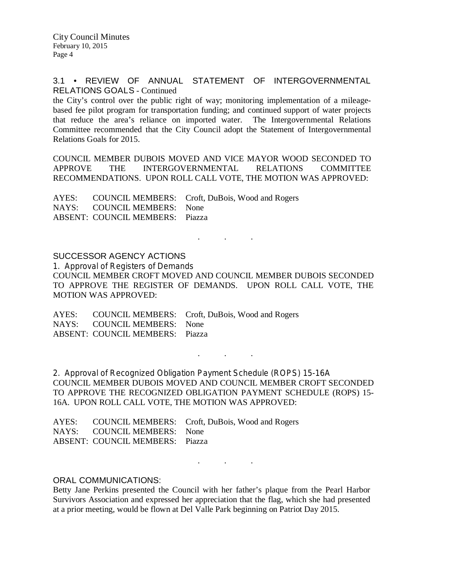#### 3.1 • REVIEW OF ANNUAL STATEMENT OF INTERGOVERNMENTAL RELATIONS GOALS - Continued

the City's control over the public right of way; monitoring implementation of a mileagebased fee pilot program for transportation funding; and continued support of water projects that reduce the area's reliance on imported water. The Intergovernmental Relations Committee recommended that the City Council adopt the Statement of Intergovernmental Relations Goals for 2015.

COUNCIL MEMBER DUBOIS MOVED AND VICE MAYOR WOOD SECONDED TO APPROVE THE INTERGOVERNMENTAL RELATIONS COMMITTEE RECOMMENDATIONS. UPON ROLL CALL VOTE, THE MOTION WAS APPROVED:

AYES: COUNCIL MEMBERS: Croft, DuBois, Wood and Rogers NAYS: COUNCIL MEMBERS: None ABSENT: COUNCIL MEMBERS: Piazza

SUCCESSOR AGENCY ACTIONS 1. Approval of Registers of Demands COUNCIL MEMBER CROFT MOVED AND COUNCIL MEMBER DUBOIS SECONDED TO APPROVE THE REGISTER OF DEMANDS. UPON ROLL CALL VOTE, THE MOTION WAS APPROVED:

 $\mathbf{r}$  .  $\mathbf{r}$  ,  $\mathbf{r}$  ,  $\mathbf{r}$  ,  $\mathbf{r}$  ,  $\mathbf{r}$  ,  $\mathbf{r}$ 

AYES: COUNCIL MEMBERS: Croft, DuBois, Wood and Rogers NAYS: COUNCIL MEMBERS: None ABSENT: COUNCIL MEMBERS: Piazza

2. Approval of Recognized Obligation Payment Schedule (ROPS) 15-16A COUNCIL MEMBER DUBOIS MOVED AND COUNCIL MEMBER CROFT SECONDED TO APPROVE THE RECOGNIZED OBLIGATION PAYMENT SCHEDULE (ROPS) 15- 16A. UPON ROLL CALL VOTE, THE MOTION WAS APPROVED:

. . .

AYES: COUNCIL MEMBERS: Croft, DuBois, Wood and Rogers NAYS: COUNCIL MEMBERS: None ABSENT: COUNCIL MEMBERS: Piazza

ORAL COMMUNICATIONS:

Betty Jane Perkins presented the Council with her father's plaque from the Pearl Harbor Survivors Association and expressed her appreciation that the flag, which she had presented at a prior meeting, would be flown at Del Valle Park beginning on Patriot Day 2015.

. . .